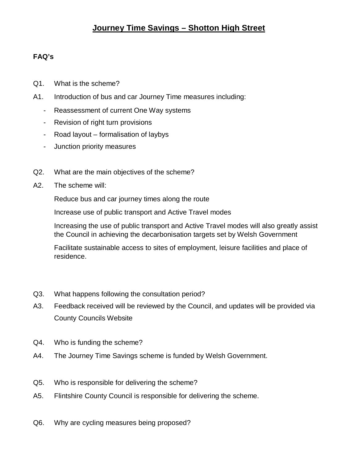## **Journey Time Savings – Shotton High Street**

## **FAQ's**

- Q1. What is the scheme?
- A1. Introduction of bus and car Journey Time measures including:
	- Reassessment of current One Way systems
	- Revision of right turn provisions
	- Road layout formalisation of laybys
	- Junction priority measures
- Q2. What are the main objectives of the scheme?
- A2. The scheme will:

Reduce bus and car journey times along the route

Increase use of public transport and Active Travel modes

Increasing the use of public transport and Active Travel modes will also greatly assist the Council in achieving the decarbonisation targets set by Welsh Government

Facilitate sustainable access to sites of employment, leisure facilities and place of residence.

- Q3. What happens following the consultation period?
- A3. Feedback received will be reviewed by the Council, and updates will be provided via County Councils Website
- Q4. Who is funding the scheme?
- A4. The Journey Time Savings scheme is funded by Welsh Government.
- Q5. Who is responsible for delivering the scheme?
- A5. Flintshire County Council is responsible for delivering the scheme.
- Q6. Why are cycling measures being proposed?